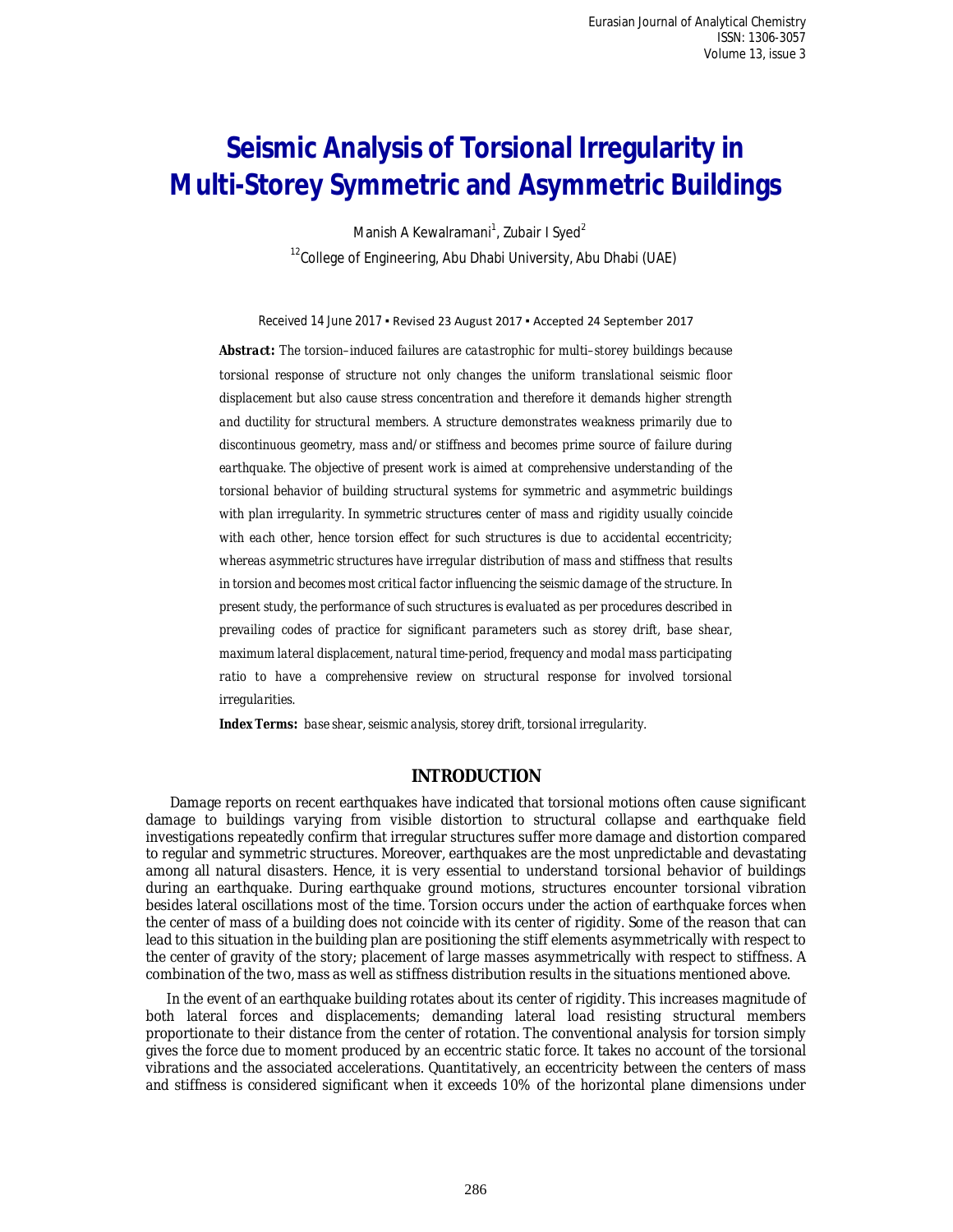# **Seismic Analysis of Torsional Irregularity in Multi-Storey Symmetric and Asymmetric Buildings**

Manish A Kewalramani<sup>1</sup>, Zubair I Syed<sup>2</sup>  $12$ College of Engineering, Abu Dhabi University, Abu Dhabi (UAE)

Received 14 June 2017 ▪ Revised 23 August 2017 ▪ Accepted 24 September 2017

*Abstract: The torsion–induced failures are catastrophic for multi–storey buildings because torsional response of structure not only changes the uniform translational seismic floor displacement but also cause stress concentration and therefore it demands higher strength and ductility for structural members. A structure demonstrates weakness primarily due to discontinuous geometry, mass and/or stiffness and becomes prime source of failure during earthquake. The objective of present work is aimed at comprehensive understanding of the torsional behavior of building structural systems for symmetric and asymmetric buildings with plan irregularity. In symmetric structures center of mass and rigidity usually coincide with each other, hence torsion effect for such structures is due to accidental eccentricity; whereas asymmetric structures have irregular distribution of mass and stiffness that results in torsion and becomes most critical factor influencing the seismic damage of the structure. In present study, the performance of such structures is evaluated as per procedures described in prevailing codes of practice for significant parameters such as storey drift, base shear, maximum lateral displacement, natural time-period, frequency and modal mass participating*  ratio to have a comprehensive review on structural response for involved torsional *irregularities.*

*Index Terms: base shear, seismic analysis, storey drift, torsional irregularity.*

# **INTRODUCTION**

Damage reports on recent earthquakes have indicated that torsional motions often cause significant damage to buildings varying from visible distortion to structural collapse and earthquake field investigations repeatedly confirm that irregular structures suffer more damage and distortion compared to regular and symmetric structures. Moreover, earthquakes are the most unpredictable and devastating among all natural disasters. Hence, it is very essential to understand torsional behavior of buildings during an earthquake. During earthquake ground motions, structures encounter torsional vibration besides lateral oscillations most of the time. Torsion occurs under the action of earthquake forces when the center of mass of a building does not coincide with its center of rigidity. Some of the reason that can lead to this situation in the building plan are positioning the stiff elements asymmetrically with respect to the center of gravity of the story; placement of large masses asymmetrically with respect to stiffness. A combination of the two, mass as well as stiffness distribution results in the situations mentioned above.

In the event of an earthquake building rotates about its center of rigidity. This increases magnitude of both lateral forces and displacements; demanding lateral load resisting structural members proportionate to their distance from the center of rotation. The conventional analysis for torsion simply gives the force due to moment produced by an eccentric static force. It takes no account of the torsional vibrations and the associated accelerations. Quantitatively, an eccentricity between the centers of mass and stiffness is considered significant when it exceeds 10% of the horizontal plane dimensions under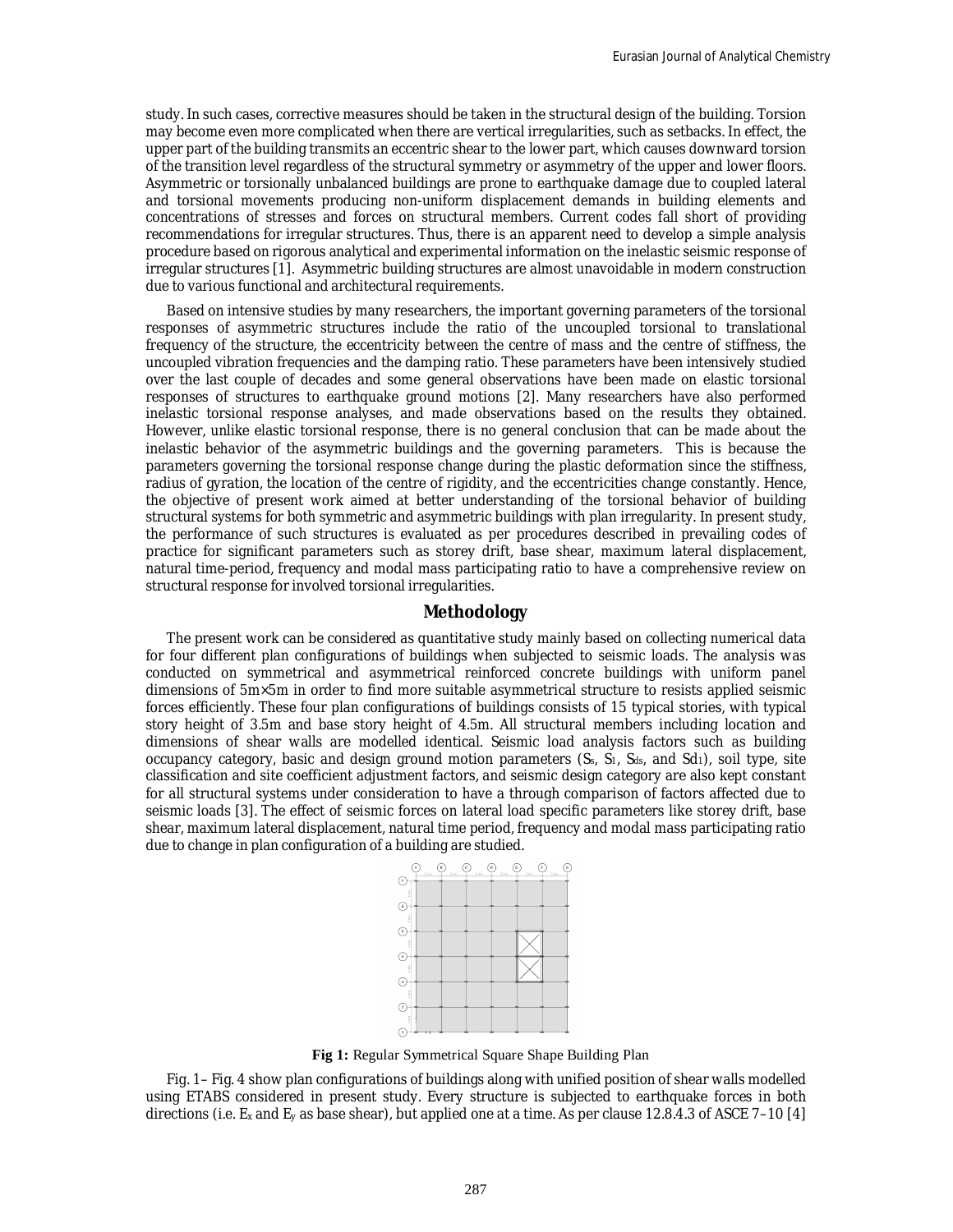study. In such cases, corrective measures should be taken in the structural design of the building. Torsion may become even more complicated when there are vertical irregularities, such as setbacks. In effect, the upper part of the building transmits an eccentric shear to the lower part, which causes downward torsion of the transition level regardless of the structural symmetry or asymmetry of the upper and lower floors. Asymmetric or torsionally unbalanced buildings are prone to earthquake damage due to coupled lateral and torsional movements producing non-uniform displacement demands in building elements and concentrations of stresses and forces on structural members. Current codes fall short of providing recommendations for irregular structures. Thus, there is an apparent need to develop a simple analysis procedure based on rigorous analytical and experimental information on the inelastic seismic response of irregular structures [1]. Asymmetric building structures are almost unavoidable in modern construction due to various functional and architectural requirements.

Based on intensive studies by many researchers, the important governing parameters of the torsional responses of asymmetric structures include the ratio of the uncoupled torsional to translational frequency of the structure, the eccentricity between the centre of mass and the centre of stiffness, the uncoupled vibration frequencies and the damping ratio. These parameters have been intensively studied over the last couple of decades and some general observations have been made on elastic torsional responses of structures to earthquake ground motions [2]. Many researchers have also performed inelastic torsional response analyses, and made observations based on the results they obtained. However, unlike elastic torsional response, there is no general conclusion that can be made about the inelastic behavior of the asymmetric buildings and the governing parameters. This is because the parameters governing the torsional response change during the plastic deformation since the stiffness, radius of gyration, the location of the centre of rigidity, and the eccentricities change constantly. Hence, the objective of present work aimed at better understanding of the torsional behavior of building structural systems for both symmetric and asymmetric buildings with plan irregularity. In present study, the performance of such structures is evaluated as per procedures described in prevailing codes of practice for significant parameters such as storey drift, base shear, maximum lateral displacement, natural time-period, frequency and modal mass participating ratio to have a comprehensive review on structural response for involved torsional irregularities.

## **Methodology**

The present work can be considered as quantitative study mainly based on collecting numerical data for four different plan configurations of buildings when subjected to seismic loads. The analysis was conducted on symmetrical and asymmetrical reinforced concrete buildings with uniform panel dimensions of 5m×5m in order to find more suitable asymmetrical structure to resists applied seismic forces efficiently. These four plan configurations of buildings consists of 15 typical stories, with typical story height of 3.5m and base story height of 4.5m. All structural members including location and dimensions of shear walls are modelled identical. Seismic load analysis factors such as building occupancy category, basic and design ground motion parameters  $(S<sub>s</sub>, S<sub>1</sub>, S<sub>ds</sub>,$  and Sd<sub>1</sub>), soil type, site classification and site coefficient adjustment factors, and seismic design category are also kept constant for all structural systems under consideration to have a through comparison of factors affected due to seismic loads [3]. The effect of seismic forces on lateral load specific parameters like storey drift, base shear, maximum lateral displacement, natural time period, frequency and modal mass participating ratio due to change in plan configuration of a building are studied.



**Fig 1:** Regular Symmetrical Square Shape Building Plan

Fig. 1– Fig. 4 show plan configurations of buildings along with unified position of shear walls modelled using ETABS considered in present study. Every structure is subjected to earthquake forces in both directions (i.e. E<sup>x</sup> and E<sup>y</sup> as base shear), but applied one at a time. As per clause 12.8.4.3 of ASCE 7–10 [4]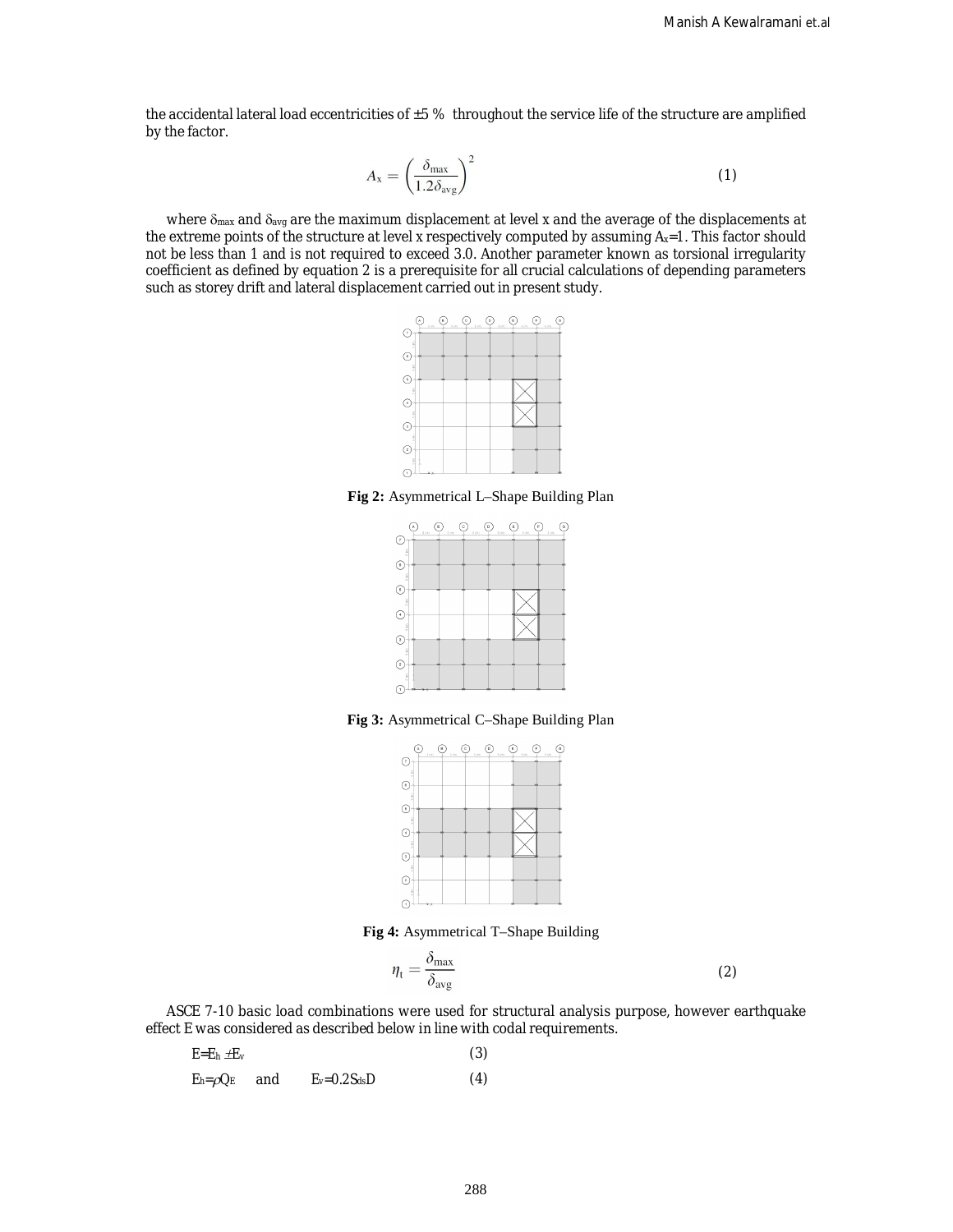the accidental lateral load eccentricities of  $\pm 5$  % throughout the service life of the structure are amplified by the factor.

$$
A_{\rm x} = \left(\frac{\delta_{\rm max}}{1.2\delta_{\rm avg}}\right)^2 \tag{1}
$$

where  $\delta_{\text{max}}$  and  $\delta_{\text{avg}}$  are the maximum displacement at level *x* and the average of the displacements at the extreme points of the structure at level *x* respectively computed by assuming A*x*=1. This factor should not be less than 1 and is not required to exceed 3.0. Another parameter known as torsional irregularity coefficient as defined by equation 2 is a prerequisite for all crucial calculations of depending parameters such as storey drift and lateral displacement carried out in present study.



**Fig 2:** Asymmetrical L–Shape Building Plan



**Fig 3:** Asymmetrical C–Shape Building Plan



**Fig 4:** Asymmetrical T–Shape Building

$$
\eta_{\rm t} = \frac{\delta_{\rm max}}{\delta_{\rm avg}} \tag{2}
$$

ASCE 7-10 basic load combinations were used for structural analysis purpose, however earthquake effect E was considered as described below in line with codal requirements.

| $E$ =En $\pm E_V$    |                      | (3) |
|----------------------|----------------------|-----|
| $E_h = \rho Q_E$ and | $E_v = 0.2 S_{ds} D$ | (4) |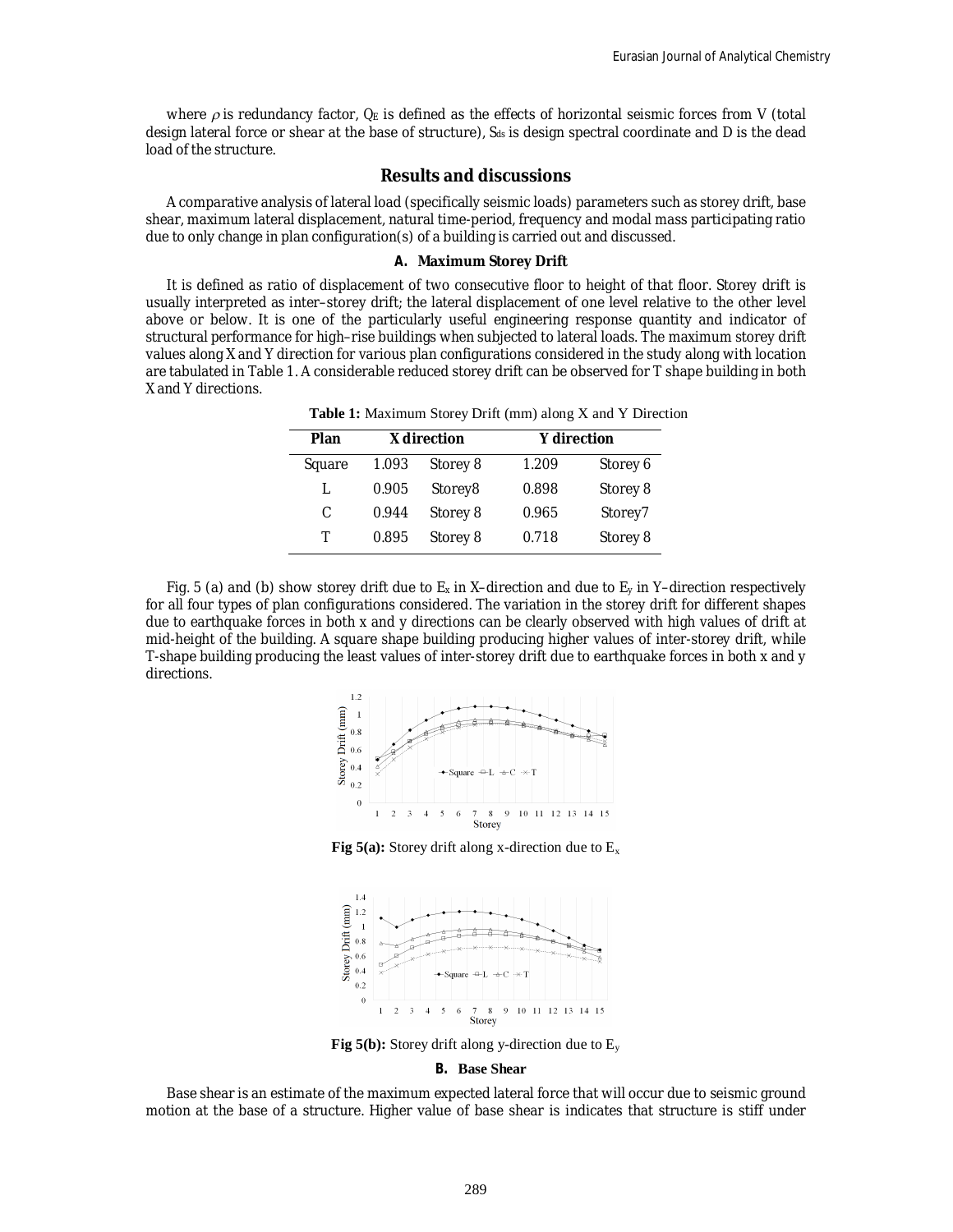where  $\rho$  is redundancy factor,  $Q_E$  is defined as the effects of horizontal seismic forces from V (total design lateral force or shear at the base of structure), *Sds* is design spectral coordinate and D is the dead load of the structure.

## **Results and discussions**

A comparative analysis of lateral load (specifically seismic loads) parameters such as storey drift, base shear, maximum lateral displacement, natural time-period, frequency and modal mass participating ratio due to only change in plan configuration(s) of a building is carried out and discussed.

## **A. Maximum Storey Drift**

It is defined as ratio of displacement of two consecutive floor to height of that floor. Storey drift is usually interpreted as inter–storey drift; the lateral displacement of one level relative to the other level above or below. It is one of the particularly useful engineering response quantity and indicator of structural performance for high–rise buildings when subjected to lateral loads. The maximum storey drift values along X and Y direction for various plan configurations considered in the study along with location are tabulated in Table 1. A considerable reduced storey drift can be observed for T shape building in both X and Y directions.

| Plan         | X direction |          | <b>Y</b> direction |          |
|--------------|-------------|----------|--------------------|----------|
| Square       | 1.093       | Storey 8 | 1.209              | Storey 6 |
| $\mathbf{L}$ | 0.905       | Storey8  | 0.898              | Storey 8 |
| C            | 0.944       | Storey 8 | 0.965              | Storey7  |
| Т            | 0.895       | Storey 8 | 0.718              | Storey 8 |

**Table 1:** Maximum Storey Drift (mm) along X and Y Direction

Fig. 5 (a) and (b) show storey drift due to  $E_x$  in X–direction and due to  $E_y$  in Y–direction respectively for all four types of plan configurations considered. The variation in the storey drift for different shapes due to earthquake forces in both x and y directions can be clearly observed with high values of drift at mid-height of the building. A square shape building producing higher values of inter-storey drift, while T-shape building producing the least values of inter-storey drift due to earthquake forces in both x and y directions.



**Fig 5(a):** Storey drift along x-direction due to  $E_x$ 



**Fig 5(b):** Storey drift along y-direction due to  $E_y$ 

#### **B. Base Shear**

Base shear is an estimate of the maximum expected lateral force that will occur due to seismic ground motion at the base of a structure. Higher value of base shear is indicates that structure is stiff under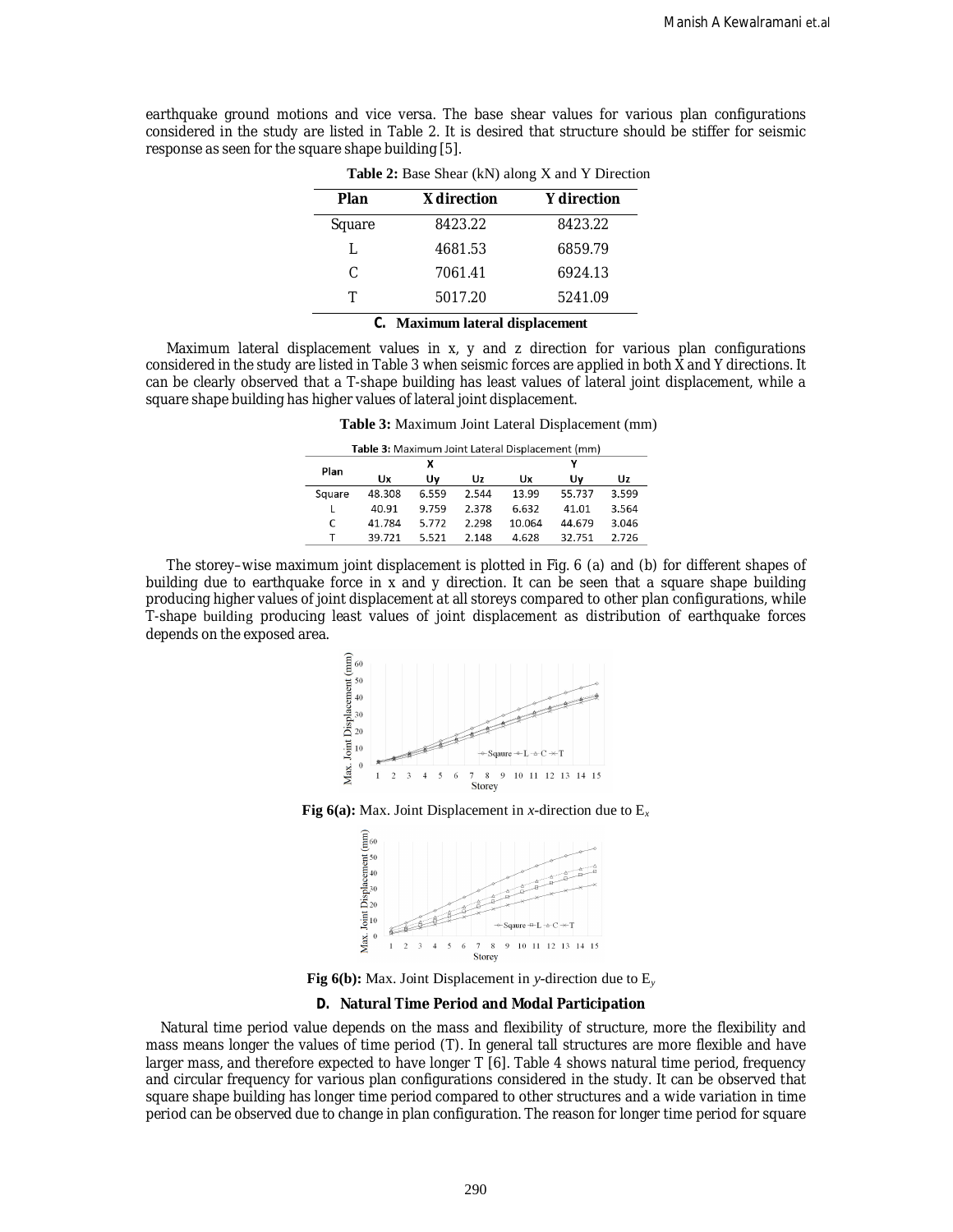earthquake ground motions and vice versa. The base shear values for various plan configurations considered in the study are listed in Table 2. It is desired that structure should be stiffer for seismic response as seen for the square shape building [5].

| Plan   | X direction | <b>Y</b> direction |
|--------|-------------|--------------------|
| Square | 8423.22     | 8423.22            |
|        | 4681.53     | 6859.79            |
| C.     | 7061.41     | 6924.13            |
|        | 5017.20     | 5241.09            |

**Table 2:** Base Shear (kN) along X and Y Direction

#### **C. Maximum lateral displacement**

Maximum lateral displacement values in x, y and z direction for various plan configurations considered in the study are listed in Table 3 when seismic forces are applied in both X and Y directions. It can be clearly observed that a T-shape building has least values of lateral joint displacement, while a square shape building has higher values of lateral joint displacement.

**Table 3:** Maximum Joint Lateral Displacement (mm)

| Table 3: Maximum Joint Lateral Displacement (mm) |        |       |       |        |        |       |  |  |
|--------------------------------------------------|--------|-------|-------|--------|--------|-------|--|--|
| Plan                                             |        | х     |       |        |        |       |  |  |
|                                                  | Ux     | Uv    | Uz    | Ux     | U٧     | Uz    |  |  |
| Square                                           | 48.308 | 6.559 | 2.544 | 13.99  | 55.737 | 3.599 |  |  |
| L                                                | 40.91  | 9.759 | 2.378 | 6.632  | 41.01  | 3.564 |  |  |
| C                                                | 41.784 | 5.772 | 2.298 | 10.064 | 44.679 | 3.046 |  |  |
| т                                                | 39.721 | 5.521 | 2.148 | 4.628  | 32.751 | 2.726 |  |  |

The storey–wise maximum joint displacement is plotted in Fig. 6 (a) and (b) for different shapes of building due to earthquake force in x and y direction. It can be seen that a square shape building producing higher values of joint displacement at all storeys compared to other plan configurations, while T-shape building producing least values of joint displacement as distribution of earthquake forces depends on the exposed area.



**Fig 6(a):** Max. Joint Displacement in *x*-direction due to E*<sup>x</sup>*



**Fig 6(b):** Max. Joint Displacement in *y*-direction due to E*<sup>y</sup>*

### **D. Natural Time Period and Modal Participation**

Natural time period value depends on the mass and flexibility of structure, more the flexibility and mass means longer the values of time period (T). In general tall structures are more flexible and have larger mass, and therefore expected to have longer T [6]. Table 4 shows natural time period, frequency and circular frequency for various plan configurations considered in the study. It can be observed that square shape building has longer time period compared to other structures and a wide variation in time period can be observed due to change in plan configuration. The reason for longer time period for square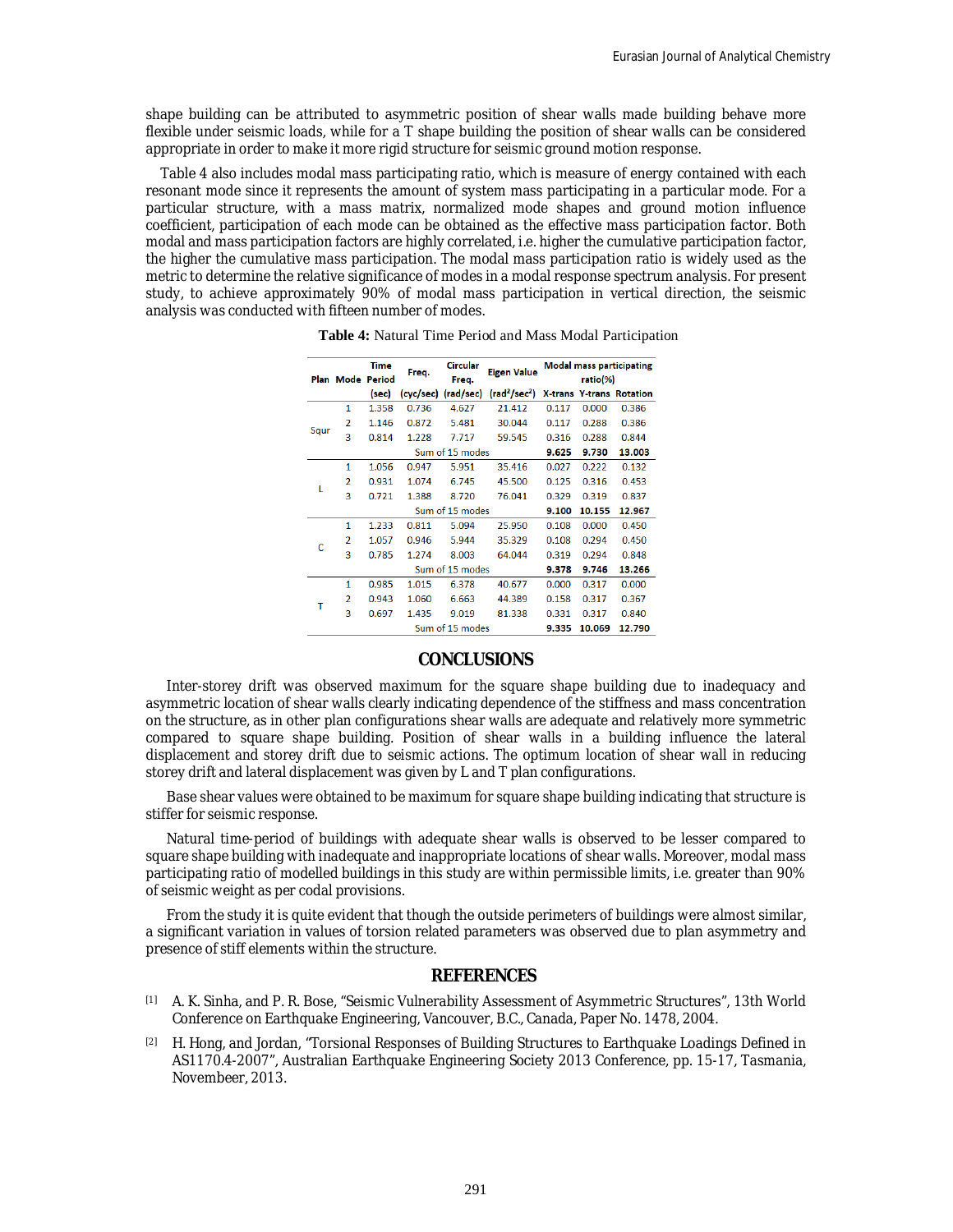shape building can be attributed to asymmetric position of shear walls made building behave more flexible under seismic loads, while for a T shape building the position of shear walls can be considered appropriate in order to make it more rigid structure for seismic ground motion response.

Table 4 also includes modal mass participating ratio, which is measure of energy contained with each resonant mode since it represents the amount of system mass participating in a particular mode. For a particular structure, with a mass matrix, normalized mode shapes and ground motion influence coefficient, participation of each mode can be obtained as the effective mass participation factor. Both modal and mass participation factors are highly correlated, i.e. higher the cumulative participation factor, the higher the cumulative mass participation. The modal mass participation ratio is widely used as the metric to determine the relative significance of modes in a modal response spectrum analysis. For present study, to achieve approximately 90% of modal mass participation in vertical direction, the seismic analysis was conducted with fifteen number of modes.

|                     | <b>Plan Mode Period</b>  | <b>Time</b> | Freq.           | <b>Circular</b> | <b>Eigen Value</b>                           | <b>Modal mass participating</b> |        |                                 |
|---------------------|--------------------------|-------------|-----------------|-----------------|----------------------------------------------|---------------------------------|--------|---------------------------------|
|                     |                          |             |                 | Freq.           |                                              | ratio(%)                        |        |                                 |
|                     |                          | (sec)       | (cyc/sec)       | (rad/sec)       | $\left(\mathrm{rad}^2/\mathrm{sec}^2\right)$ |                                 |        | <b>X-trans Y-trans Rotation</b> |
|                     | 1                        | 1.358       | 0.736           | 4.627           | 21.412                                       | 0.117                           | 0.000  | 0.386                           |
|                     | 2                        | 1.146       | 0.872           | 5.481           | 30.044                                       | 0.117                           | 0.288  | 0.386                           |
| Squr<br>ι<br>C<br>т | 3                        | 0.814       | 1.228           | 7.717           | 59.545                                       | 0.316                           | 0.288  | 0.844                           |
|                     |                          |             | Sum of 15 modes |                 |                                              |                                 | 9.730  | 13.003                          |
|                     | 1                        | 1.056       | 0.947           | 5.951           | 35.416                                       | 0.027                           | 0.222  | 0.132                           |
|                     | 2                        | 0.931       | 1.074           | 6.745           | 45.500                                       | 0.125                           | 0.316  | 0.453                           |
|                     | 3                        | 0.721       | 1.388           | 8.720           | 76.041                                       | 0.329                           | 0.319  | 0.837                           |
|                     |                          |             |                 | Sum of 15 modes |                                              | 9.100                           | 10.155 | 12.967                          |
|                     | 1                        | 1.233       | 0.811           | 5.094           | 25.950                                       | 0.108                           | 0.000  | 0.450                           |
|                     | 2                        | 1.057       | 0.946           | 5.944           | 35.329                                       | 0.108                           | 0.294  | 0.450                           |
|                     | 3                        | 0.785       | 1.274           | 8.003           | 64.044                                       | 0.319                           | 0.294  | 0.848                           |
|                     |                          |             |                 | Sum of 15 modes |                                              | 9.378                           | 9.746  | 13.266                          |
|                     | 1                        | 0.985       | 1.015           | 6.378           | 40.677                                       | 0.000                           | 0.317  | 0.000                           |
|                     | $\overline{\phantom{a}}$ | 0.943       | 1.060           | 6.663           | 44.389                                       | 0.158                           | 0.317  | 0.367                           |
|                     | 3                        | 0.697       | 1.435           | 9.019           | 81.338                                       | 0.331                           | 0.317  | 0.840                           |
|                     | Sum of 15 modes          |             |                 |                 | 9.335                                        | 10.069                          | 12.790 |                                 |

**Table 4:** Natural Time Period and Mass Modal Participation

# **CONCLUSIONS**

Inter-storey drift was observed maximum for the square shape building due to inadequacy and asymmetric location of shear walls clearly indicating dependence of the stiffness and mass concentration on the structure, as in other plan configurations shear walls are adequate and relatively more symmetric compared to square shape building. Position of shear walls in a building influence the lateral displacement and storey drift due to seismic actions. The optimum location of shear wall in reducing storey drift and lateral displacement was given by L and T plan configurations.

Base shear values were obtained to be maximum for square shape building indicating that structure is stiffer for seismic response.

Natural time-period of buildings with adequate shear walls is observed to be lesser compared to square shape building with inadequate and inappropriate locations of shear walls. Moreover, modal mass participating ratio of modelled buildings in this study are within permissible limits, i.e. greater than 90% of seismic weight as per codal provisions.

From the study it is quite evident that though the outside perimeters of buildings were almost similar, a significant variation in values of torsion related parameters was observed due to plan asymmetry and presence of stiff elements within the structure.

## **REFERENCES**

- [1] A. K. Sinha, and P. R. Bose, "Seismic Vulnerability Assessment of Asymmetric Structures", 13th World Conference on Earthquake Engineering, Vancouver, B.C., Canada, Paper No. 1478, 2004.
- [2] H. Hong, and Jordan, "Torsional Responses of Building Structures to Earthquake Loadings Defined in AS1170.4-2007", Australian Earthquake Engineering Society 2013 Conference, pp. 15-17, Tasmania, Novembeer, 2013.